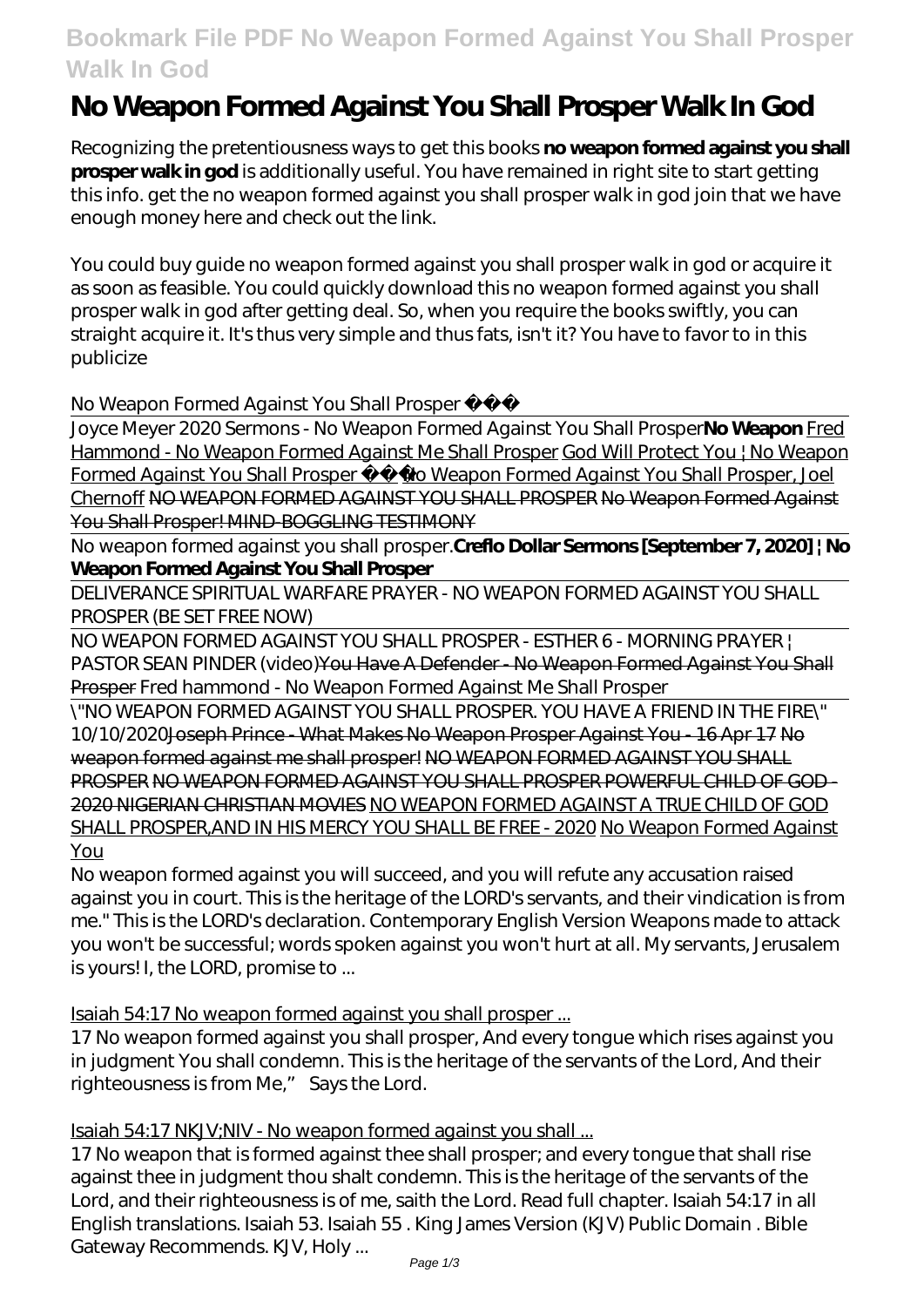# **Bookmark File PDF No Weapon Formed Against You Shall Prosper Walk In God**

# **No Weapon Formed Against You Shall Prosper Walk In God**

Recognizing the pretentiousness ways to get this books **no weapon formed against you shall prosper walk in god** is additionally useful. You have remained in right site to start getting this info. get the no weapon formed against you shall prosper walk in god join that we have enough money here and check out the link.

You could buy guide no weapon formed against you shall prosper walk in god or acquire it as soon as feasible. You could quickly download this no weapon formed against you shall prosper walk in god after getting deal. So, when you require the books swiftly, you can straight acquire it. It's thus very simple and thus fats, isn't it? You have to favor to in this publicize

# *No Weapon Formed Against You Shall Prosper*

Joyce Meyer 2020 Sermons - No Weapon Formed Against You Shall Prosper**No Weapon** Fred Hammond - No Weapon Formed Against Me Shall Prosper God Will Protect You | No Weapon Formed Against You Shall Prosper <u>No Weapon Formed Against You Shall Prosper</u>, Joel Chernoff NO WEAPON FORMED AGAINST YOU SHALL PROSPER No Weapon Formed Against You Shall Prosper! MIND-BOGGLING TESTIMONY

No weapon formed against you shall prosper.**Creflo Dollar Sermons [September 7, 2020] | No Weapon Formed Against You Shall Prosper**

DELIVERANCE SPIRITUAL WARFARE PRAYER - NO WEAPON FORMED AGAINST YOU SHALL PROSPER (BE SET FREE NOW)

NO WEAPON FORMED AGAINST YOU SHALL PROSPER - ESTHER 6 - MORNING PRAYER | PASTOR SEAN PINDER (video)You Have A Defender - No Weapon Formed Against You Shall Prosper *Fred hammond - No Weapon Formed Against Me Shall Prosper*

\"NO WEAPON FORMED AGAINST YOU SHALL PROSPER. YOU HAVE A FRIEND IN THE FIRE\" 10/10/2020Joseph Prince - What Makes No Weapon Prosper Against You - 16 Apr 17 No weapon formed against me shall prosper! NO WEAPON FORMED AGAINST YOU SHALL PROSPER NO WEAPON FORMED AGAINST YOU SHALL PROSPER POWERFUL CHILD OF GOD - 2020 NIGERIAN CHRISTIAN MOVIES NO WEAPON FORMED AGAINST A TRUE CHILD OF GOD SHALL PROSPER,AND IN HIS MERCY YOU SHALL BE FREE - 2020 No Weapon Formed Against You

No weapon formed against you will succeed, and you will refute any accusation raised against you in court. This is the heritage of the LORD's servants, and their vindication is from me." This is the LORD's declaration. Contemporary English Version Weapons made to attack you won't be successful; words spoken against you won't hurt at all. My servants, Jerusalem is yours! I, the LORD, promise to ...

Isaiah 54:17 No weapon formed against you shall prosper ...

17 No weapon formed against you shall prosper, And every tongue which rises against you in judgment You shall condemn. This is the heritage of the servants of the Lord, And their righteousness is from Me," Says the Lord.

# Isaiah 54:17 NKJV;NIV - No weapon formed against you shall ...

17 No weapon that is formed against thee shall prosper; and every tongue that shall rise against thee in judgment thou shalt condemn. This is the heritage of the servants of the Lord, and their righteousness is of me, saith the Lord. Read full chapter. Isaiah 54:17 in all English translations. Isaiah 53. Isaiah 55 . King James Version (KJV) Public Domain . Bible Gateway Recommends. KJV, Holy ...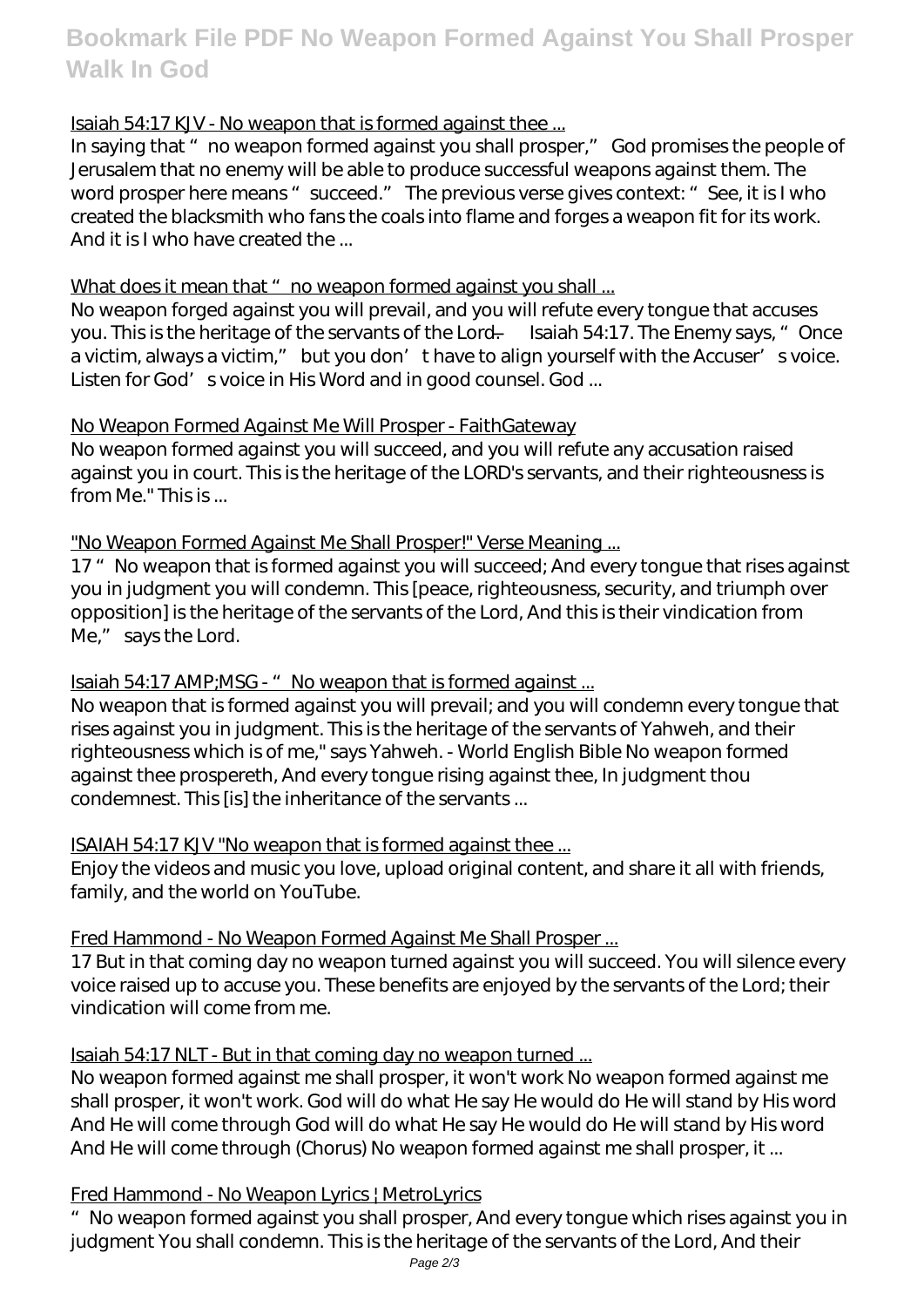**Bookmark File PDF No Weapon Formed Against You Shall Prosper Walk In God**

# Isaiah 54:17 KJV - No weapon that is formed against thee ...

In saying that " no weapon formed against you shall prosper," God promises the people of Jerusalem that no enemy will be able to produce successful weapons against them. The word prosper here means " succeed." The previous verse gives context: " See, it is I who created the blacksmith who fans the coals into flame and forges a weapon fit for its work. And it is I who have created the ...

# What does it mean that " no weapon formed against you shall ...

No weapon forged against you will prevail, and you will refute every tongue that accuses you. This is the heritage of the servants of the Lord. — Isaiah 54:17. The Enemy says, "Once a victim, always a victim," but you don' thave to align yourself with the Accuser' svoice. Listen for God' s voice in His Word and in good counsel. God ...

# No Weapon Formed Against Me Will Prosper - FaithGateway

No weapon formed against you will succeed, and you will refute any accusation raised against you in court. This is the heritage of the LORD's servants, and their righteousness is from Me." This is ...

# "No Weapon Formed Against Me Shall Prosper!" Verse Meaning ...

17 " No weapon that is formed against you will succeed; And every tongue that rises against you in judgment you will condemn. This [peace, righteousness, security, and triumph over opposition] is the heritage of the servants of the Lord, And this is their vindication from Me," says the Lord.

# Isaiah 54:17 AMP; MSG - "No weapon that is formed against ...

No weapon that is formed against you will prevail; and you will condemn every tongue that rises against you in judgment. This is the heritage of the servants of Yahweh, and their righteousness which is of me," says Yahweh. - World English Bible No weapon formed against thee prospereth, And every tongue rising against thee, In judgment thou condemnest. This [is] the inheritance of the servants ...

# ISAIAH 54:17 KJV "No weapon that is formed against thee ...

Enjoy the videos and music you love, upload original content, and share it all with friends, family, and the world on YouTube.

# Fred Hammond - No Weapon Formed Against Me Shall Prosper ...

17 But in that coming day no weapon turned against you will succeed. You will silence every voice raised up to accuse you. These benefits are enjoyed by the servants of the Lord; their vindication will come from me.

# Isaiah 54:17 NLT - But in that coming day no weapon turned ...

No weapon formed against me shall prosper, it won't work No weapon formed against me shall prosper, it won't work. God will do what He say He would do He will stand by His word And He will come through God will do what He say He would do He will stand by His word And He will come through (Chorus) No weapon formed against me shall prosper, it ...

# Fred Hammond - No Weapon Lyrics | MetroLyrics

"No weapon formed against you shall prosper, And every tongue which rises against you in judgment You shall condemn. This is the heritage of the servants of the Lord, And their